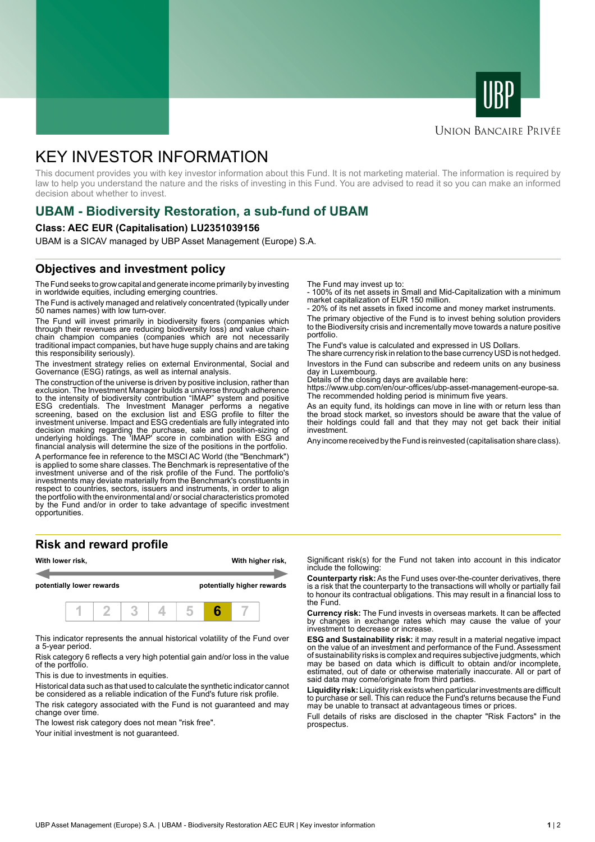



### **UNION BANCAIRE PRIVÉE**

# KEY INVESTOR INFORMATION

This document provides you with key investor information about this Fund. It is not marketing material. The information is required by law to help you understand the nature and the risks of investing in this Fund. You are advised to read it so you can make an informed decision about whether to invest.

# **UBAM - Biodiversity Restoration, a sub-fund of UBAM**

#### **Class: AEC EUR (Capitalisation) LU2351039156**

UBAM is a SICAV managed by UBP Asset Management (Europe) S.A.

# **Objectives and investment policy**

The Fund seeks to grow capital and generate income primarily by investing in worldwide equities, including emerging countries.

The Fund is actively managed and relatively concentrated (typically under 50 names names) with low turn-over.

The Fund will invest primarily in biodiversity fixers (companies which through their revenues are reducing biodiversity loss) and value chainchain champion companies (companies which are not necessarily traditional impact companies, but have huge supply chains and are taking this responsibility seriously).

The investment strategy relies on external Environmental, Social and Governance (ESG) ratings, as well as internal analysis.

The construction of the universe is driven by positive inclusion, rather than exclusion. The Investment Manager builds a universe through adherence to the intensity of biodiversity contribution "IMAP" system and positive ESG credentials. The Investment Manager performs a negative screening, based on the exclusion list and ESG profile to filter the investment universe. Impact and ESG credentials are fully integrated into decision making regarding the purchase, sale and position-sizing of underlying holdings. The 'IMAP' score in combination with ESG and financial analysis will determine the size of the positions in the portfolio.

A performance fee in reference to the MSCI AC World (the "Benchmark") is applied to some share classes. The Benchmark is representative of the investment universe and of the risk profile of the Fund. The portfolio's investments may deviate materially from the Benchmark's constituents in respect to countries, sectors, issuers and instruments, in order to align the portfolio with the environmental and/ or social characteristics promoted by the Fund and/or in order to take advantage of specific investment opportunities.

### **Risk and reward profile**



This indicator represents the annual historical volatility of the Fund over a 5-year period.

Risk category 6 reflects a very high potential gain and/or loss in the value of the portfolio.

This is due to investments in equities.

Historical data such as that used to calculate the synthetic indicator cannot be considered as a reliable indication of the Fund's future risk profile.

The risk category associated with the Fund is not guaranteed and may change over time.

The lowest risk category does not mean "risk free".

Your initial investment is not guaranteed.

The Fund may invest up to:

- 100% of its net assets in Small and Mid-Capitalization with a minimum market capitalization of EUR 150 million.

20% of its net assets in fixed income and money market instruments.

The primary objective of the Fund is to invest behing solution providers to the Biodiversity crisis and incrementally move towards a nature positive portfolio.

The Fund's value is calculated and expressed in US Dollars.

The share currency risk in relation to the base currency USD is not hedged. Investors in the Fund can subscribe and redeem units on any business day in Luxembourg.

Details of the closing days are available here:

https://www.ubp.com/en/our-offices/ubp-asset-management-europe-sa. The recommended holding period is minimum five years.

As an equity fund, its holdings can move in line with or return less than the broad stock market, so investors should be aware that the value of their holdings could fall and that they may not get back their initial investment.

Any income received by the Fund is reinvested (capitalisation share class).

Significant risk(s) for the Fund not taken into account in this indicator include the following:

**Counterparty risk:** As the Fund uses over-the-counter derivatives, there is a risk that the counterparty to the transactions will wholly or partially fail to honour its contractual obligations. This may result in a financial loss to the Fund.

**Currency risk:** The Fund invests in overseas markets. It can be affected by changes in exchange rates which may cause the value of your investment to decrease or increase.

**ESG and Sustainability risk:** it may result in a material negative impact on the value of an investment and performance of the Fund. Assessment of sustainability risks is complex and requires subjective judgments, which may be based on data which is difficult to obtain and/or incomplete, estimated, out of date or otherwise materially inaccurate. All or part of said data may come/originate from third parties.

**Liquidity risk:** Liquidity risk exists when particular investments are difficult to purchase or sell. This can reduce the Fund's returns because the Fund may be unable to transact at advantageous times or prices.

Full details of risks are disclosed in the chapter "Risk Factors" in the prospectus.